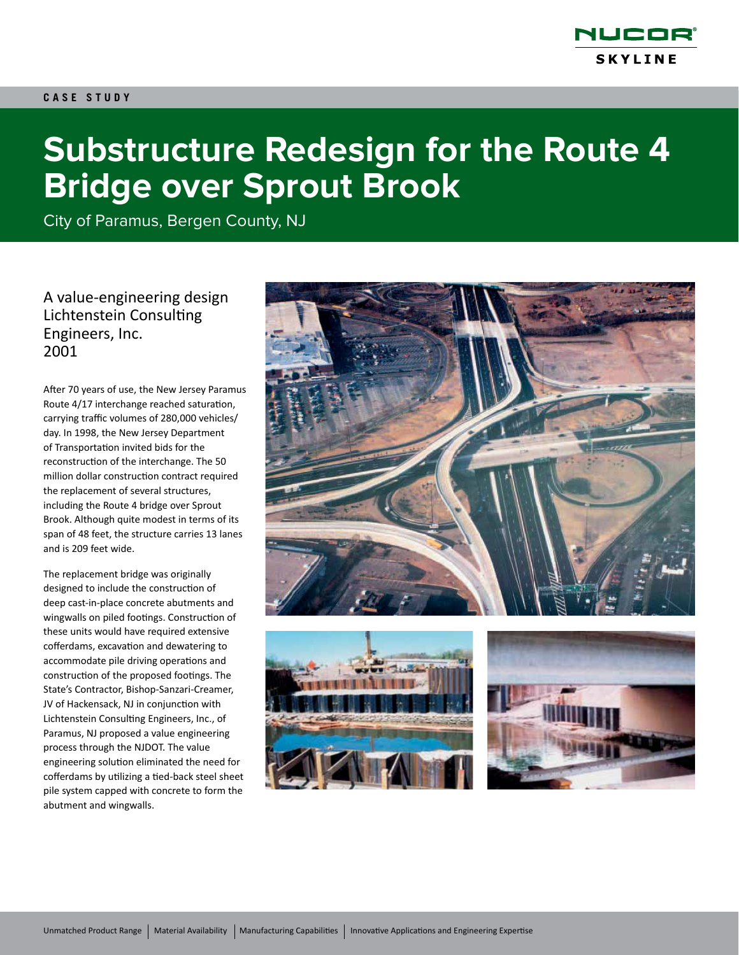

# **Substructure Redesign for the Route 4 Bridge over Sprout Brook**

City of Paramus, Bergen County, NJ

A value-engineering design Lichtenstein Consulting Engineers, Inc. 2001

After 70 years of use, the New Jersey Paramus Route 4/17 interchange reached saturation, carrying traffic volumes of 280,000 vehicles/ day. In 1998, the New Jersey Department of Transportation invited bids for the reconstruction of the interchange. The 50 million dollar construction contract required the replacement of several structures, including the Route 4 bridge over Sprout Brook. Although quite modest in terms of its span of 48 feet, the structure carries 13 lanes and is 209 feet wide.

The replacement bridge was originally designed to include the construction of deep cast-in-place concrete abutments and wingwalls on piled footings. Construction of these units would have required extensive cofferdams, excavation and dewatering to accommodate pile driving operations and construction of the proposed footings. The State's Contractor, Bishop-Sanzari-Creamer, JV of Hackensack, NJ in conjunction with Lichtenstein Consulting Engineers, Inc., of Paramus, NJ proposed a value engineering process through the NJDOT. The value engineering solution eliminated the need for cofferdams by utilizing a tied-back steel sheet pile system capped with concrete to form the abutment and wingwalls.

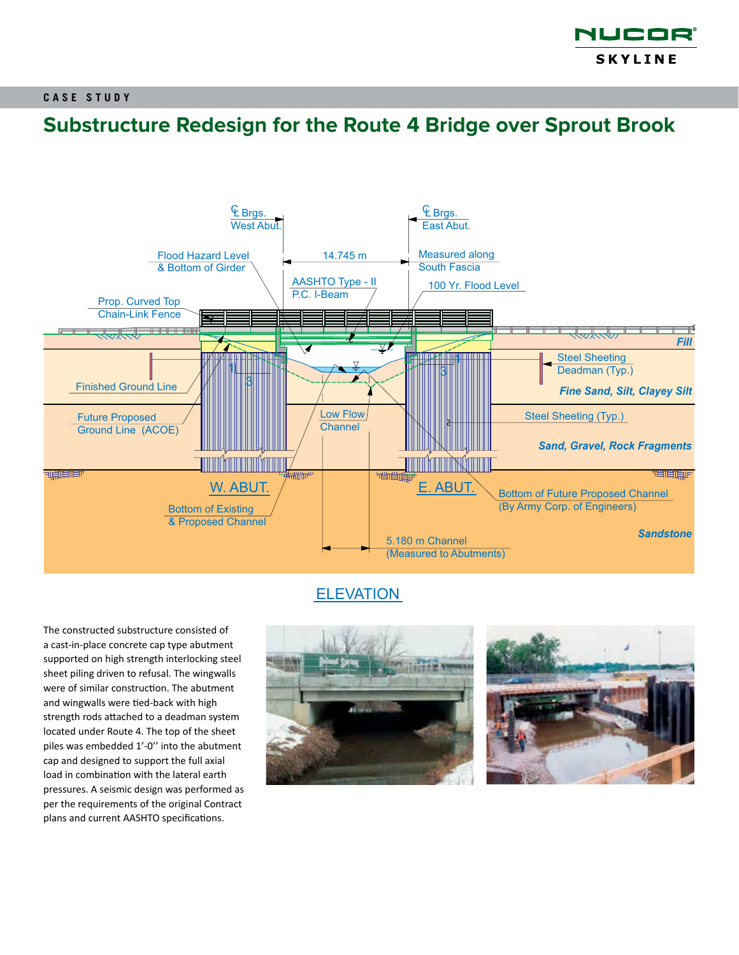

# **Substructure Redesign for the Route 4 Bridge over Sprout Brook**



### **ELEVATION**

The constructed substructure consisted of a cast-in-place concrete cap type abutment supported on high strength interlocking steel sheet piling driven to refusal. The wingwalls were of similar construction. The abutment and wingwalls were tied-back with high strength rods attached to a deadman system located under Route 4. The top of the sheet piles was embedded 1'-0'' into the abutment cap and designed to support the full axial load in combination with the lateral earth pressures. A seismic design was performed as per the requirements of the original Contract plans and current AASHTO specifications.



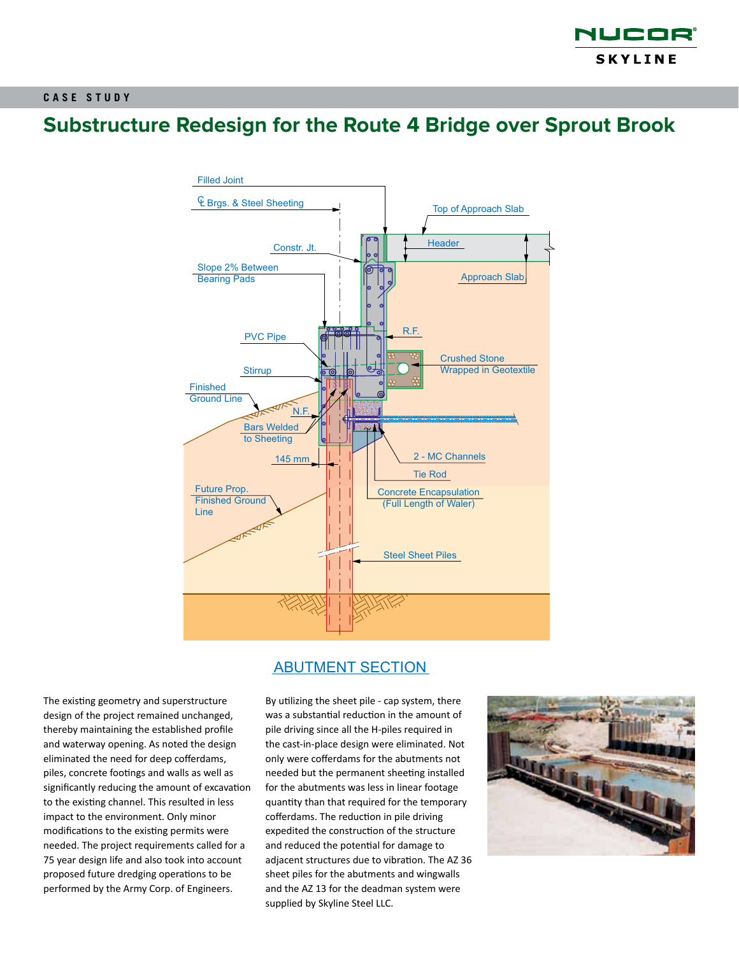

# **Substructure Redesign for the Route 4 Bridge over Sprout Brook**



ABUTMENT SECTION

The existing geometry and superstructure design of the project remained unchanged, thereby maintaining the established profile and waterway opening. As noted the design eliminated the need for deep cofferdams, piles, concrete footings and walls as well as significantly reducing the amount of excavation to the existing channel. This resulted in less impact to the environment. Only minor modifications to the existing permits were needed. The project requirements called for a 75 year design life and also took into account proposed future dredging operations to be performed by the Army Corp. of Engineers.

By utilizing the sheet pile - cap system, there was a substantial reduction in the amount of pile driving since all the H-piles required in the cast-in-place design were eliminated. Not only were cofferdams for the abutments not needed but the permanent sheeting installed for the abutments was less in linear footage quantity than that required for the temporary cofferdams. The reduction in pile driving expedited the construction of the structure and reduced the potential for damage to adjacent structures due to vibration. The AZ 36 sheet piles for the abutments and wingwalls and the AZ 13 for the deadman system were supplied by Skyline Steel LLC.

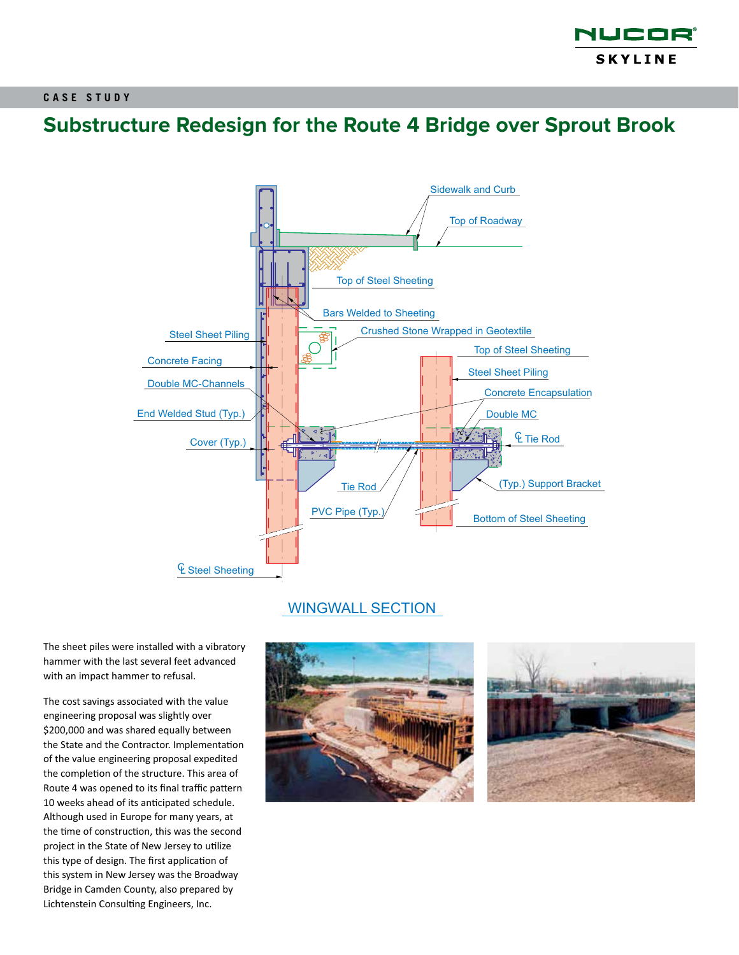

# **Substructure Redesign for the Route 4 Bridge over Sprout Brook**



### WINGWALL SECTION

The sheet piles were installed with a vibratory hammer with the last several feet advanced with an impact hammer to refusal.

The cost savings associated with the value engineering proposal was slightly over \$200,000 and was shared equally between the State and the Contractor. Implementation of the value engineering proposal expedited the completion of the structure. This area of Route 4 was opened to its final traffic pattern 10 weeks ahead of its anticipated schedule. Although used in Europe for many years, at the time of construction, this was the second project in the State of New Jersey to utilize this type of design. The first application of this system in New Jersey was the Broadway Bridge in Camden County, also prepared by Lichtenstein Consulting Engineers, Inc.

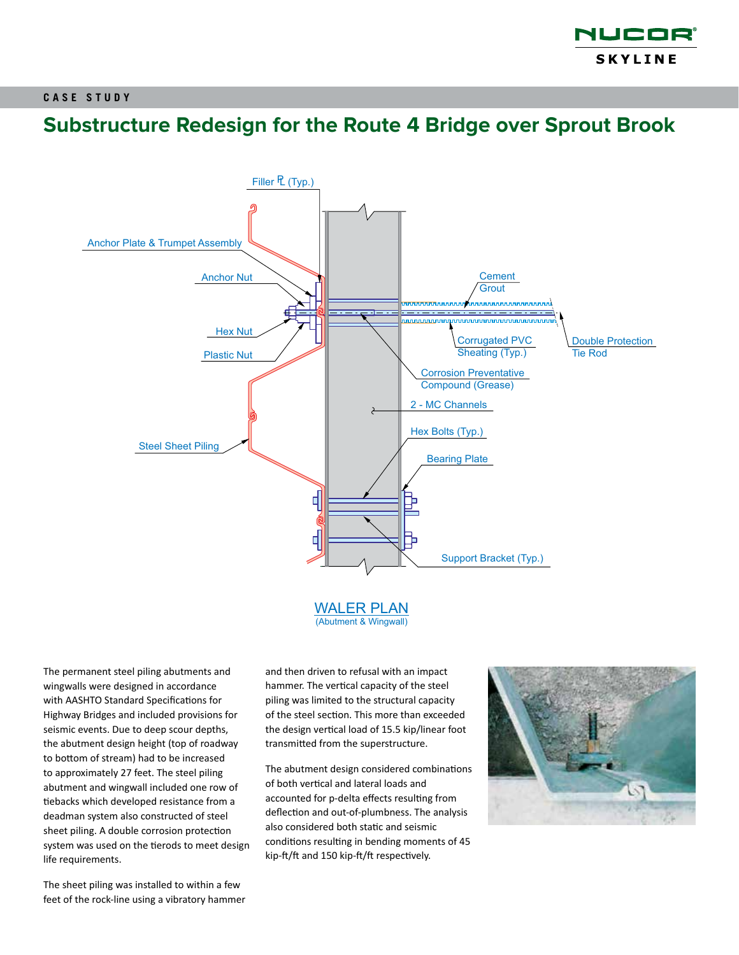

### **Substructure Redesign for the Route 4 Bridge over Sprout Brook**



(Abutment & Wingwall)

The permanent steel piling abutments and wingwalls were designed in accordance with AASHTO Standard Specifications for Highway Bridges and included provisions for seismic events. Due to deep scour depths, the abutment design height (top of roadway to bottom of stream) had to be increased to approximately 27 feet. The steel piling abutment and wingwall included one row of tiebacks which developed resistance from a deadman system also constructed of steel sheet piling. A double corrosion protection system was used on the tierods to meet design life requirements.

and then driven to refusal with an impact hammer. The vertical capacity of the steel piling was limited to the structural capacity of the steel section. This more than exceeded the design vertical load of 15.5 kip/linear foot transmitted from the superstructure.

The abutment design considered combinations of both vertical and lateral loads and accounted for p-delta effects resulting from deflection and out-of-plumbness. The analysis also considered both static and seismic conditions resulting in bending moments of 45 kip-ft/ft and 150 kip-ft/ft respectively.



The sheet piling was installed to within a few feet of the rock-line using a vibratory hammer